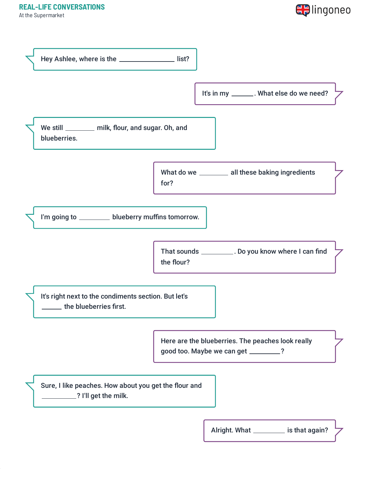At the Supermarket



| Hey Ashlee, where is the _________________ list?                               |            |                                                                                          |  |
|--------------------------------------------------------------------------------|------------|------------------------------------------------------------------------------------------|--|
|                                                                                |            | It's in my ________. What else do we need?                                               |  |
| We still _________ milk, flour, and sugar. Oh, and<br>blueberries.             |            |                                                                                          |  |
|                                                                                | for?       | What do we __________ all these baking ingredients                                       |  |
| I'm going to __________ blueberry muffins tomorrow.                            |            |                                                                                          |  |
|                                                                                | the flour? | That sounds ___________. Do you know where I can find                                    |  |
| It's right next to the condiments section. But let's<br>the blueberries first. |            |                                                                                          |  |
|                                                                                |            | Here are the blueberries. The peaches look really<br>good too. Maybe we can get _______? |  |
| Sure, I like peaches. How about you get the flour and<br>? I'll get the milk.  |            |                                                                                          |  |
|                                                                                |            | Alright. What ___________ is that again?                                                 |  |